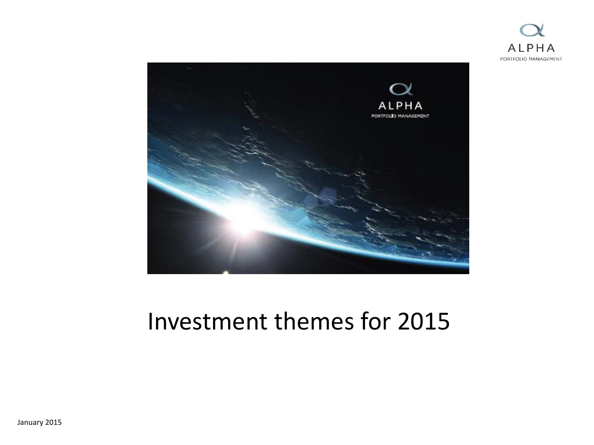



#### Investment themes for 2015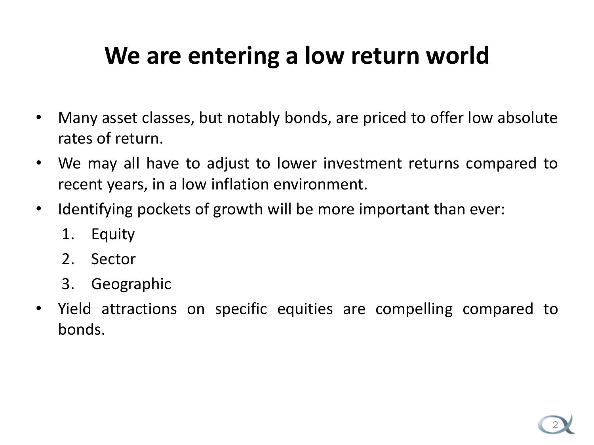### **We are entering a low return world**

- Many asset classes, but notably bonds, are priced to offer low absolute rates of return.
- We may all have to adjust to lower investment returns compared to recent years, in a low inflation environment.
- Identifying pockets of growth will be more important than ever:
	- 1. Equity
	- 2. Sector
	- 3. Geographic
- Yield attractions on specific equities are compelling compared to bonds.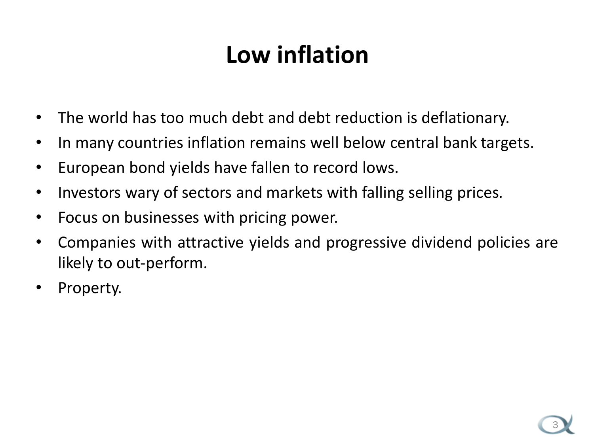## **Low inflation**

- The world has too much debt and debt reduction is deflationary.
- In many countries inflation remains well below central bank targets.
- European bond yields have fallen to record lows.
- Investors wary of sectors and markets with falling selling prices.
- Focus on businesses with pricing power.
- Companies with attractive yields and progressive dividend policies are likely to out-perform.
- Property.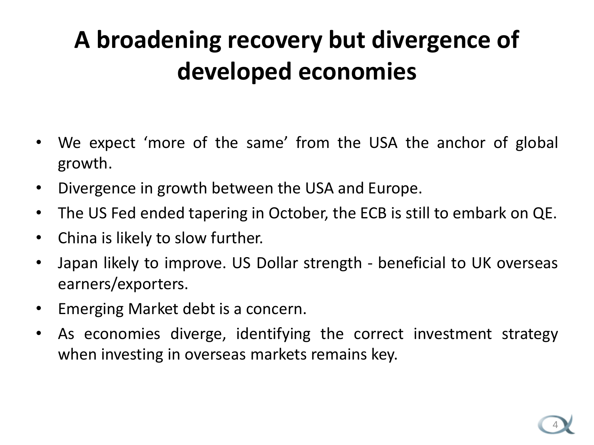# **A broadening recovery but divergence of developed economies**

- We expect 'more of the same' from the USA the anchor of global growth.
- Divergence in growth between the USA and Europe.
- The US Fed ended tapering in October, the ECB is still to embark on QE.
- China is likely to slow further.
- Japan likely to improve. US Dollar strength beneficial to UK overseas earners/exporters.
- Emerging Market debt is a concern.
- As economies diverge, identifying the correct investment strategy when investing in overseas markets remains key.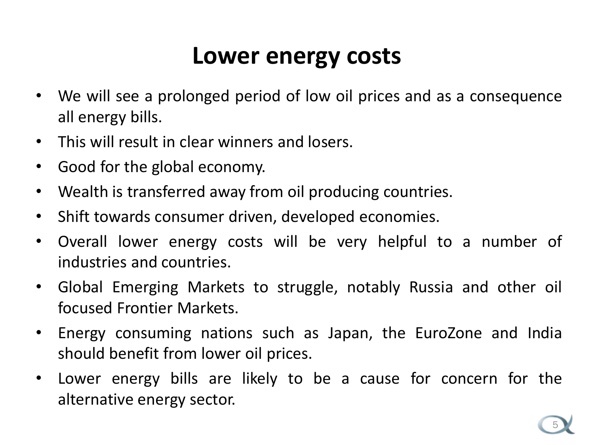#### **Lower energy costs**

- We will see a prolonged period of low oil prices and as a consequence all energy bills.
- This will result in clear winners and losers.
- Good for the global economy.
- Wealth is transferred away from oil producing countries.
- Shift towards consumer driven, developed economies.
- Overall lower energy costs will be very helpful to a number of industries and countries.
- Global Emerging Markets to struggle, notably Russia and other oil focused Frontier Markets.
- Energy consuming nations such as Japan, the EuroZone and India should benefit from lower oil prices.
- Lower energy bills are likely to be a cause for concern for the alternative energy sector.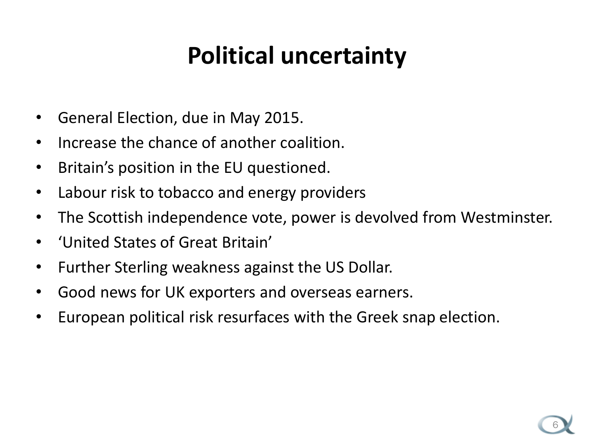### **Political uncertainty**

- General Election, due in May 2015.
- Increase the chance of another coalition.
- Britain's position in the EU questioned.
- Labour risk to tobacco and energy providers
- The Scottish independence vote, power is devolved from Westminster.
- 'United States of Great Britain'
- Further Sterling weakness against the US Dollar.
- Good news for UK exporters and overseas earners.
- European political risk resurfaces with the Greek snap election.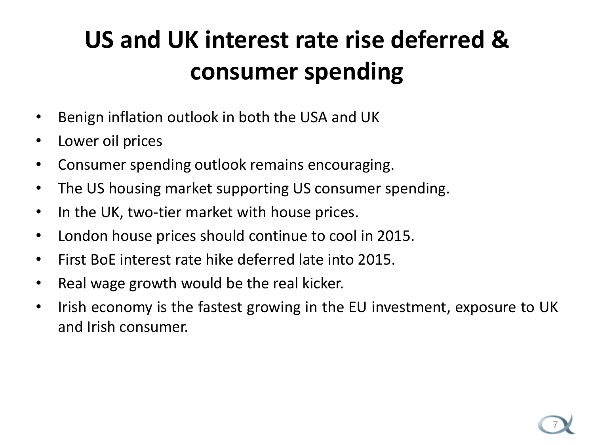# **US and UK interest rate rise deferred & consumer spending**

- Benign inflation outlook in both the USA and UK
- Lower oil prices
- Consumer spending outlook remains encouraging.
- The US housing market supporting US consumer spending.
- In the UK, two-tier market with house prices.
- London house prices should continue to cool in 2015.
- First BoE interest rate hike deferred late into 2015.
- Real wage growth would be the real kicker.
- Irish economy is the fastest growing in the EU investment, exposure to UK and Irish consumer.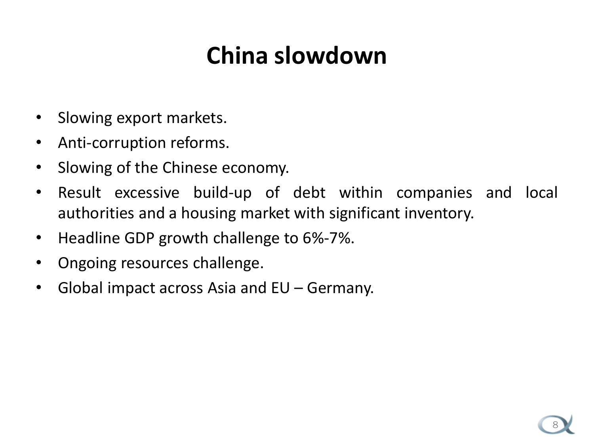### **China slowdown**

- Slowing export markets.
- Anti-corruption reforms.
- Slowing of the Chinese economy.
- Result excessive build-up of debt within companies and local authorities and a housing market with significant inventory.
- Headline GDP growth challenge to 6%-7%.
- Ongoing resources challenge.
- Global impact across Asia and EU Germany.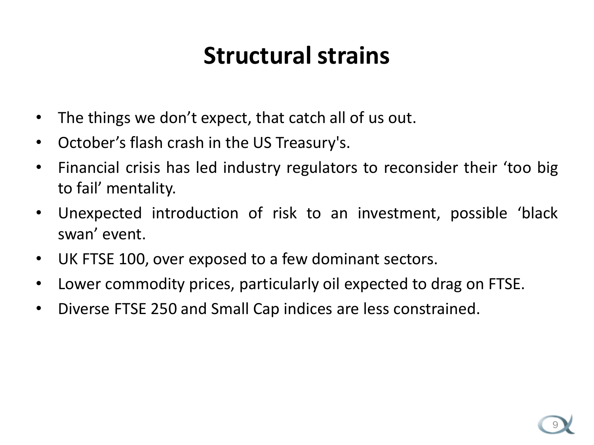#### **Structural strains**

- The things we don't expect, that catch all of us out.
- October's flash crash in the US Treasury's.
- Financial crisis has led industry regulators to reconsider their 'too big to fail' mentality.
- Unexpected introduction of risk to an investment, possible 'black swan' event.
- UK FTSE 100, over exposed to a few dominant sectors.
- Lower commodity prices, particularly oil expected to drag on FTSE.
- Diverse FTSE 250 and Small Cap indices are less constrained.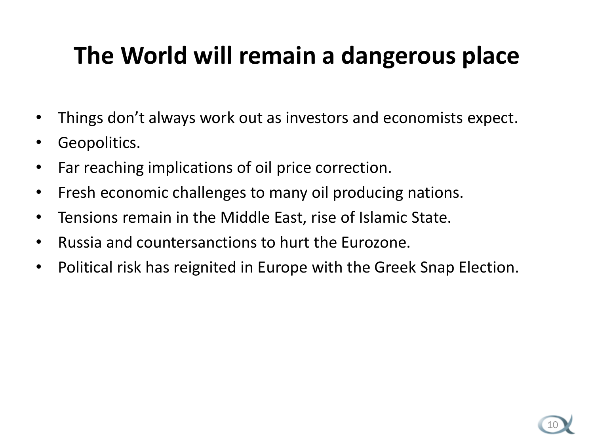## **The World will remain a dangerous place**

- Things don't always work out as investors and economists expect.
- Geopolitics.
- Far reaching implications of oil price correction.
- Fresh economic challenges to many oil producing nations.
- Tensions remain in the Middle East, rise of Islamic State.
- Russia and countersanctions to hurt the Eurozone.
- Political risk has reignited in Europe with the Greek Snap Election.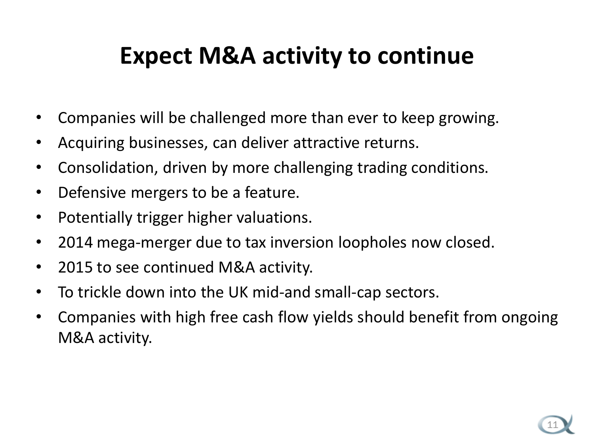#### **Expect M&A activity to continue**

- Companies will be challenged more than ever to keep growing.
- Acquiring businesses, can deliver attractive returns.
- Consolidation, driven by more challenging trading conditions.
- Defensive mergers to be a feature.
- Potentially trigger higher valuations.
- 2014 mega-merger due to tax inversion loopholes now closed.
- 2015 to see continued M&A activity.
- To trickle down into the UK mid-and small-cap sectors.
- Companies with high free cash flow yields should benefit from ongoing M&A activity.

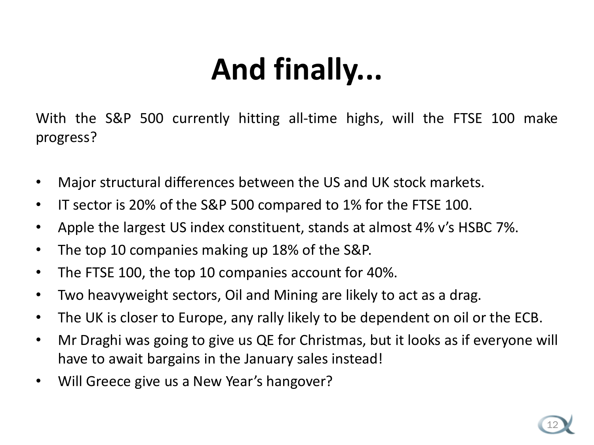# **And finally...**

With the S&P 500 currently hitting all-time highs, will the FTSE 100 make progress?

- Major structural differences between the US and UK stock markets.
- IT sector is 20% of the S&P 500 compared to 1% for the FTSE 100.
- Apple the largest US index constituent, stands at almost 4% v's HSBC 7%.
- The top 10 companies making up 18% of the S&P.
- The FTSE 100, the top 10 companies account for 40%.
- Two heavyweight sectors, Oil and Mining are likely to act as a drag.
- The UK is closer to Europe, any rally likely to be dependent on oil or the ECB.
- Mr Draghi was going to give us QE for Christmas, but it looks as if everyone will have to await bargains in the January sales instead!
- Will Greece give us a New Year's hangover?